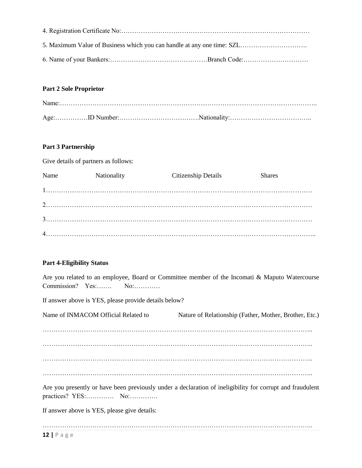### **Part 2 Sole Proprietor**

#### **Part 3 Partnership**

Give details of partners as follows:

| Name | Nationality | Citizenship Details | <b>Shares</b> |
|------|-------------|---------------------|---------------|
|      |             |                     |               |
|      |             |                     |               |
|      |             |                     |               |
|      |             |                     |               |

### **Part 4-Eligibility Status**

Are you related to an employee, Board or Committee member of the Incomati & Maputo Watercourse Commission? Yes:……. No:…………

If answer above is YES, please provide details below?

| Name of INMACOM Official Related to | Nature of Relationship (Father, Mother, Brother, Etc.)                                                    |
|-------------------------------------|-----------------------------------------------------------------------------------------------------------|
|                                     |                                                                                                           |
|                                     |                                                                                                           |
|                                     |                                                                                                           |
|                                     |                                                                                                           |
|                                     | Are you presently or have been previously under a declaration of ineligibility for corrupt and fraudulent |

If answer above is YES, please give details:

……………………………………………………………………………………………………………..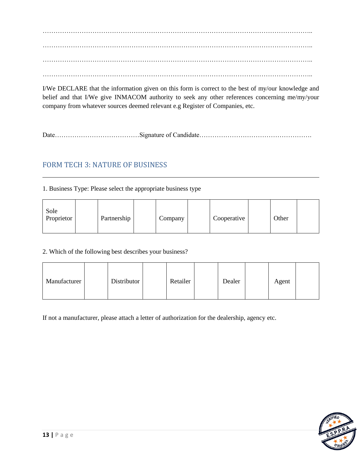…………………………………………………………………………………………………………….. …………………………………………………………………………………………………………….. …………………………………………………………………………………………………………….. ……………………………………………………………………………………………………………..

I/We DECLARE that the information given on this form is correct to the best of my/our knowledge and belief and that I/We give INMACOM authority to seek any other references concerning me/my/your company from whatever sources deemed relevant e.g Register of Companies, etc.

Date…………………………………Signature of Candidate…………………………………………….

# FORM TECH 3: NATURE OF BUSINESS

### 1. Business Type: Please select the appropriate business type

| Sole<br>Proprietor |  | Partnership |  | Company |  | Cooperative |  | Other |  |
|--------------------|--|-------------|--|---------|--|-------------|--|-------|--|
|--------------------|--|-------------|--|---------|--|-------------|--|-------|--|

### 2. Which of the following best describes your business?

| Distributor<br>Manufacturer | Retailer | Dealer | Agent |
|-----------------------------|----------|--------|-------|
|-----------------------------|----------|--------|-------|

If not a manufacturer, please attach a letter of authorization for the dealership, agency etc.